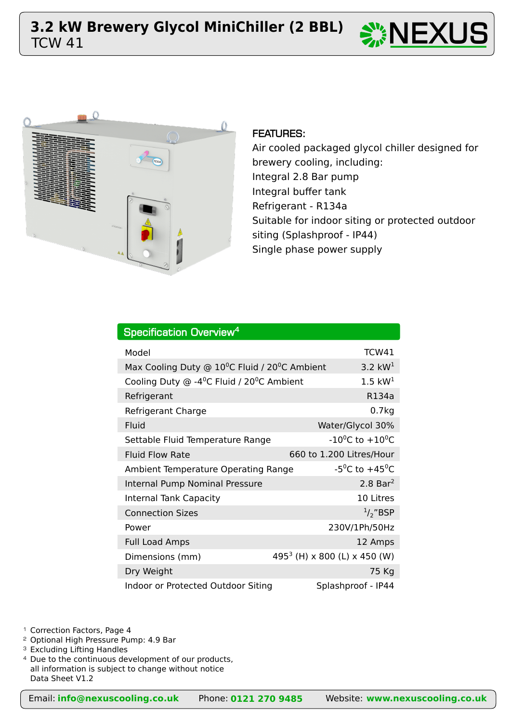



# FEATURES:

Air cooled packaged glycol chiller designed for brewery cooling, including: Integral 2.8 Bar pump Integral buffer tank Refrigerant - R134a Suitable for indoor siting or protected outdoor siting (Splashproof - IP44) Single phase power supply

| Specification Overview <sup>4</sup>                                          |                                          |  |  |  |  |  |  |  |  |  |
|------------------------------------------------------------------------------|------------------------------------------|--|--|--|--|--|--|--|--|--|
| Model                                                                        | TCW41                                    |  |  |  |  |  |  |  |  |  |
| Max Cooling Duty $\odot$ 10 <sup>o</sup> C Fluid / 20 <sup>o</sup> C Ambient | 3.2 $kW1$                                |  |  |  |  |  |  |  |  |  |
| Cooling Duty $\odot$ -4 <sup>o</sup> C Fluid / 20 <sup>o</sup> C Ambient     | $1.5 \text{ kW}^1$                       |  |  |  |  |  |  |  |  |  |
| Refrigerant                                                                  | R134a                                    |  |  |  |  |  |  |  |  |  |
| Refrigerant Charge                                                           | 0.7kg                                    |  |  |  |  |  |  |  |  |  |
| Fluid                                                                        | Water/Glycol 30%                         |  |  |  |  |  |  |  |  |  |
| Settable Fluid Temperature Range                                             | $-10^{0}$ C to $+10^{0}$ C               |  |  |  |  |  |  |  |  |  |
| <b>Fluid Flow Rate</b>                                                       | 660 to 1.200 Litres/Hour                 |  |  |  |  |  |  |  |  |  |
| Ambient Temperature Operating Range                                          | -5 <sup>o</sup> C to +45 <sup>o</sup> C  |  |  |  |  |  |  |  |  |  |
| Internal Pump Nominal Pressure                                               | $2.8$ Bar <sup>2</sup>                   |  |  |  |  |  |  |  |  |  |
| <b>Internal Tank Capacity</b>                                                | 10 Litres                                |  |  |  |  |  |  |  |  |  |
| <b>Connection Sizes</b>                                                      | $\frac{1}{2}$ "BSP                       |  |  |  |  |  |  |  |  |  |
| Power                                                                        | 230V/1Ph/50Hz                            |  |  |  |  |  |  |  |  |  |
| <b>Full Load Amps</b>                                                        | 12 Amps                                  |  |  |  |  |  |  |  |  |  |
| Dimensions (mm)                                                              | 495 <sup>3</sup> (H) x 800 (L) x 450 (W) |  |  |  |  |  |  |  |  |  |
| Dry Weight                                                                   | 75 Kg                                    |  |  |  |  |  |  |  |  |  |
| Indoor or Protected Outdoor Siting                                           | Splashproof - IP44                       |  |  |  |  |  |  |  |  |  |

<sup>1</sup> Correction Factors, Page 4

<sup>2</sup> Optional High Pressure Pump: 4.9 Bar

<sup>3</sup> Excluding Lifting Handles

<sup>4</sup> Due to the continuous development of our products, all information is subject to change without notice Data Sheet V1.2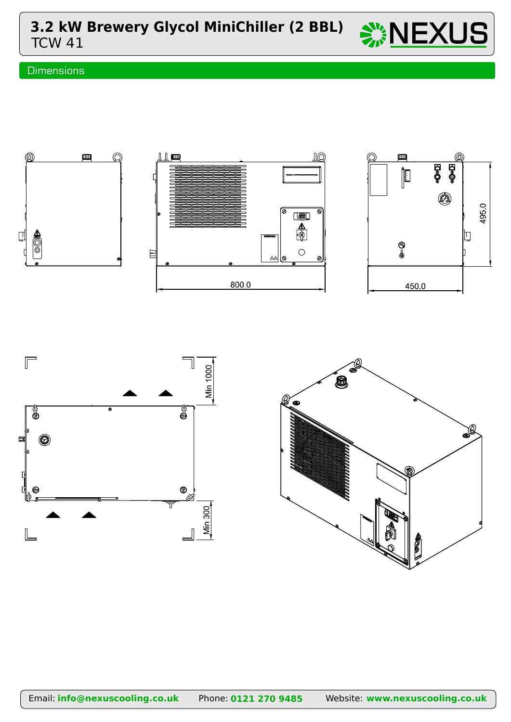**3.2 kW Brewery Glycol MiniChiller (2 BBL)**  $\sum_{i=1}^{N_s} \textbf{NEXUS}$ 



# **Dimensions**





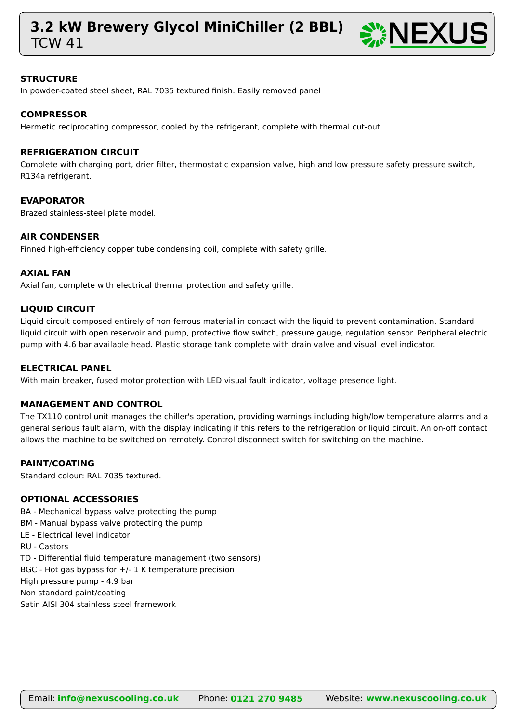# **3.2 kW Brewery Glycol MiniChiller (2 BBL)**  $\sum_{i=1}^{N_s} \textbf{NEXUS}$



### **STRUCTURE**

In powder-coated steel sheet, RAL 7035 textured finish. Easily removed panel

# **COMPRESSOR**

Hermetic reciprocating compressor, cooled by the refrigerant, complete with thermal cut-out.

#### **REFRIGERATION CIRCUIT**

Complete with charging port, drier filter, thermostatic expansion valve, high and low pressure safety pressure switch, R134a refrigerant.

#### **EVAPORATOR**

Brazed stainless-steel plate model.

#### **AIR CONDENSER**

Finned high-efficiency copper tube condensing coil, complete with safety grille.

#### **AXIAL FAN**

Axial fan, complete with electrical thermal protection and safety grille.

# **LIQUID CIRCUIT**

Liquid circuit composed entirely of non-ferrous material in contact with the liquid to prevent contamination. Standard liquid circuit with open reservoir and pump, protective flow switch, pressure gauge, regulation sensor. Peripheral electric pump with 4.6 bar available head. Plastic storage tank complete with drain valve and visual level indicator.

#### **ELECTRICAL PANEL**

With main breaker, fused motor protection with LED visual fault indicator, voltage presence light.

#### **MANAGEMENT AND CONTROL**

The TX110 control unit manages the chiller's operation, providing warnings including high/low temperature alarms and a general serious fault alarm, with the display indicating if this refers to the refrigeration or liquid circuit. An on-off contact allows the machine to be switched on remotely. Control disconnect switch for switching on the machine.

# **PAINT/COATING**

Standard colour: RAL 7035 textured.

#### **OPTIONAL ACCESSORIES**

BA - Mechanical bypass valve protecting the pump

- BM Manual bypass valve protecting the pump
- LE Electrical level indicator
- RU Castors

TD - Differential fluid temperature management (two sensors)

BGC - Hot gas bypass for  $+/$ - 1 K temperature precision

High pressure pump - 4.9 bar

Non standard paint/coating

Satin AISI 304 stainless steel framework